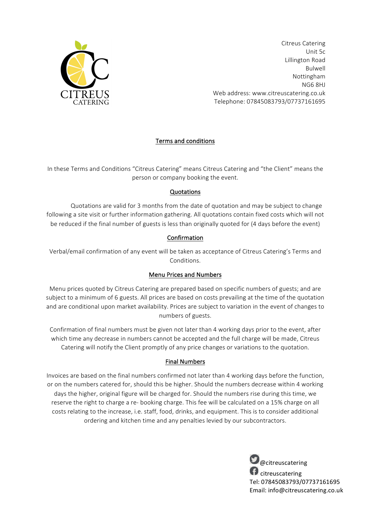

Citreus Catering Unit 5c Lillington Road Bulwell Nottingham NG6 8HJ Web address: www.citreuscatering.co.uk Telephone: 07845083793/07737161695

# Terms and conditions

In these Terms and Conditions "Citreus Catering" means Citreus Catering and "the Client" means the person or company booking the event.

#### **Quotations**

Quotations are valid for 3 months from the date of quotation and may be subject to change following a site visit or further information gathering. All quotations contain fixed costs which will not be reduced if the final number of guests is less than originally quoted for (4 days before the event)

### Confirmation

Verbal/email confirmation of any event will be taken as acceptance of Citreus Catering's Terms and Conditions.

#### **Menu Prices and Numbers**

Menu prices quoted by Citreus Catering are prepared based on specific numbers of guests; and are subject to a minimum of 6 guests. All prices are based on costs prevailing at the time of the quotation and are conditional upon market availability. Prices are subject to variation in the event of changes to numbers of guests.

Confirmation of final numbers must be given not later than 4 working days prior to the event, after which time any decrease in numbers cannot be accepted and the full charge will be made, Citreus Catering will notify the Client promptly of any price changes or variations to the quotation.

### Final Numbers

Invoices are based on the final numbers confirmed not later than 4 working days before the function, or on the numbers catered for, should this be higher. Should the numbers decrease within 4 working days the higher, original figure will be charged for. Should the numbers rise during this time, we reserve the right to charge a re- booking charge. This fee will be calculated on a 15% charge on all costs relating to the increase, i.e. staff, food, drinks, and equipment. This is to consider additional ordering and kitchen time and any penalties levied by our subcontractors.

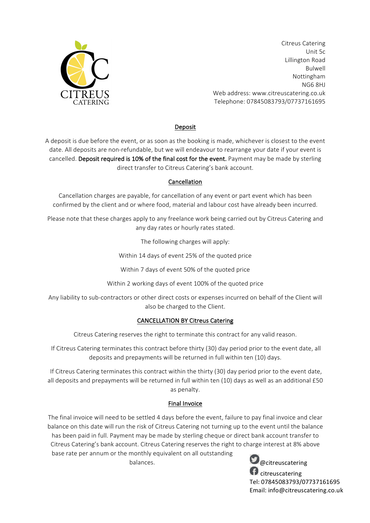

Citreus Catering Unit 5c Lillington Road Bulwell Nottingham NG6 8HJ Web address: www.citreuscatering.co.uk Telephone: 07845083793/07737161695

## Deposit

A deposit is due before the event, or as soon as the booking is made, whichever is closest to the event date. All deposits are non-refundable, but we will endeavour to rearrange your date if your event is cancelled. Deposit required is 10% of the final cost for the event. Payment may be made by sterling direct transfer to Citreus Catering's bank account.

### Cancellation

Cancellation charges are payable, for cancellation of any event or part event which has been confirmed by the client and or where food, material and labour cost have already been incurred.

Please note that these charges apply to any freelance work being carried out by Citreus Catering and any day rates or hourly rates stated.

The following charges will apply:

Within 14 days of event 25% of the quoted price

Within 7 days of event 50% of the quoted price

Within 2 working days of event 100% of the quoted price

Any liability to sub-contractors or other direct costs or expenses incurred on behalf of the Client will also be charged to the Client.

### CANCELLATION BY Citreus Catering

Citreus Catering reserves the right to terminate this contract for any valid reason.

If Citreus Catering terminates this contract before thirty (30) day period prior to the event date, all deposits and prepayments will be returned in full within ten (10) days.

If Citreus Catering terminates this contract within the thirty (30) day period prior to the event date, all deposits and prepayments will be returned in full within ten (10) days as well as an additional £50 as penalty.

### Final Invoice

The final invoice will need to be settled 4 days before the event, failure to pay final invoice and clear balance on this date will run the risk of Citreus Catering not turning up to the event until the balance has been paid in full. Payment may be made by sterling cheque or direct bank account transfer to Citreus Catering's bank account. Citreus Catering reserves the right to charge interest at 8% above base rate per annum or the monthly equivalent on all outstanding

balances.

**D**@citreuscatering **f** citreuscatering Tel: 07845083793/07737161695 Email: info@citreuscatering.co.uk